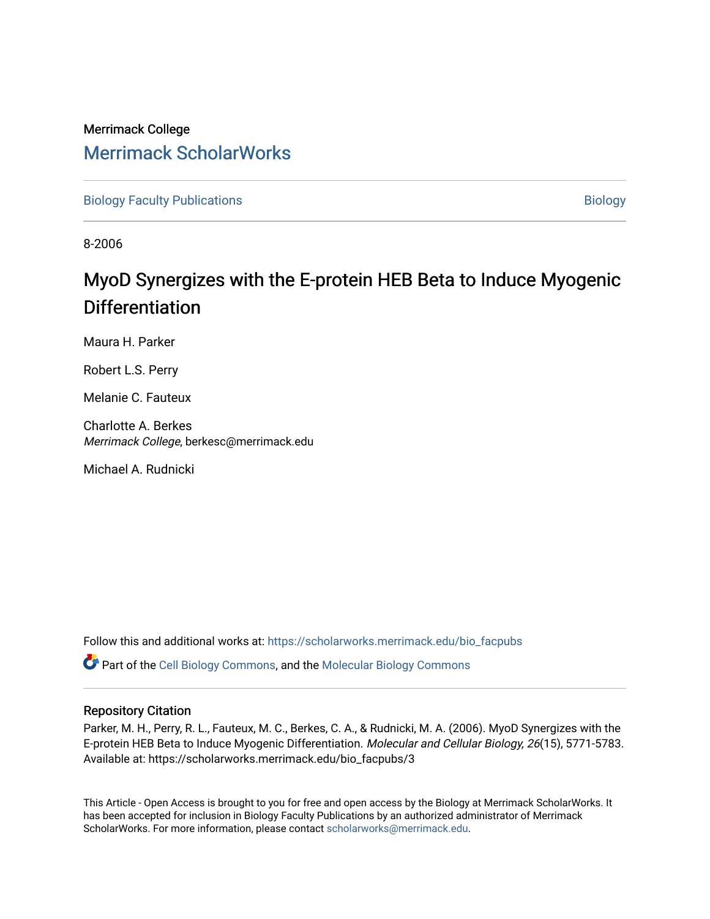## Merrimack College [Merrimack ScholarWorks](https://scholarworks.merrimack.edu/)

[Biology Faculty Publications](https://scholarworks.merrimack.edu/bio_facpubs) and the state of the state of the [Biology](https://scholarworks.merrimack.edu/bio) Biology

8-2006

# MyoD Synergizes with the E-protein HEB Beta to Induce My ogenic **Differentiation**

Maura H. Parker

Robert L.S. Perry

Melanie C. Fauteux

Charlotte A. Berkes Merrimack College, berkesc@merrimack.edu

Michael A. Rudnicki

Follow this and additional works at: [https://scholarworks.merrimack.edu/bio\\_facpubs](https://scholarworks.merrimack.edu/bio_facpubs?utm_source=scholarworks.merrimack.edu%2Fbio_facpubs%2F3&utm_medium=PDF&utm_campaign=PDFCoverPages) 

**C** Part of the [Cell Biology Commons,](http://network.bepress.com/hgg/discipline/10?utm_source=scholarworks.merrimack.edu%2Fbio_facpubs%2F3&utm_medium=PDF&utm_campaign=PDFCoverPages) and the Molecular Biology Commons

### Repository Citation

Parker, M. H., Perry, R. L., Fauteux, M. C., Berkes, C. A., & Rudnicki, M. A. (2006). MyoD Synergizes with the E-protein HEB Beta to Induce Myogenic Differentiation. Molecular and Cellular Biology, 26(15), 5771-5783. Available at: https://scholarworks.merrimack.edu/bio\_facpubs/3

This Article - Open Access is brought to you for free and open access by the Biology at Merrimack ScholarWorks. It has been accepted for inclusion in Biology Faculty Publications by an authorized administrator of Merrimack ScholarWorks. For more information, please contact [scholarworks@merrimack.edu.](mailto:scholarworks@merrimack.edu)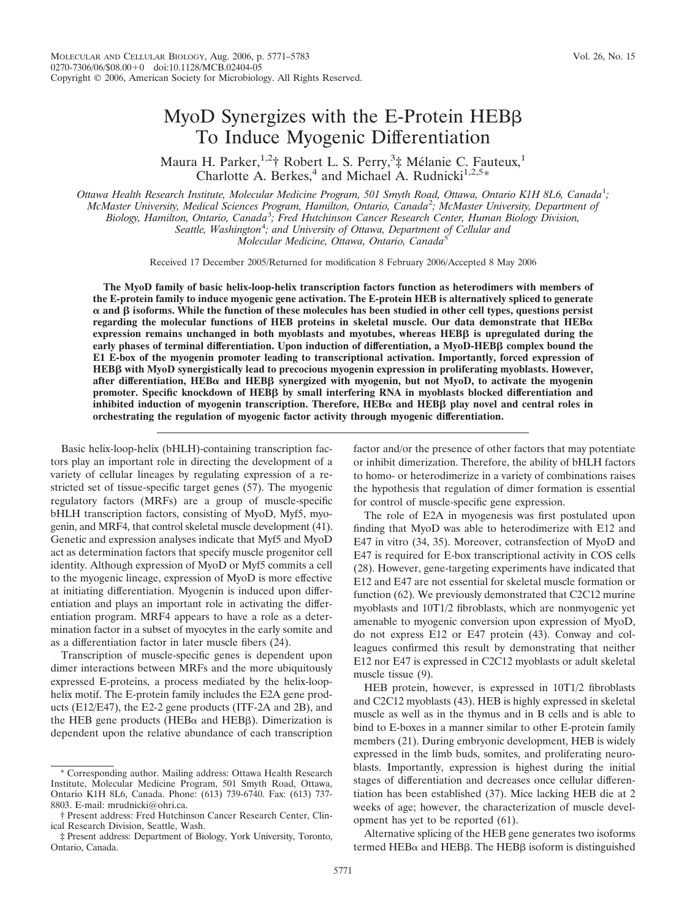## MyoD Synergizes with the E-Protein HEBB To Induce Myogenic Differentiation

Maura H. Parker,<sup>1,2</sup>† Robert L. S. Perry,<sup>3</sup>‡ Mélanie C. Fauteux,<sup>1</sup> Charlotte A. Berkes,<sup>4</sup> and Michael A. Rudnicki<sup>1,2,5\*</sup>

*Ottawa Health Research Institute, Molecular Medicine Program, 501 Smyth Road, Ottawa, Ontario K1H 8L6, Canada*<sup>1</sup> *; McMaster University, Medical Sciences Program, Hamilton, Ontario, Canada*<sup>2</sup> *; McMaster University, Department of Biology, Hamilton, Ontario, Canada*<sup>3</sup> *; Fred Hutchinson Cancer Research Center, Human Biology Division, Seattle, Washington*<sup>4</sup> *; and University of Ottawa, Department of Cellular and Molecular Medicine, Ottawa, Ontario, Canada*<sup>5</sup>

Received 17 December 2005/Returned for modification 8 February 2006/Accepted 8 May 2006

**The MyoD family of basic helix-loop-helix transcription factors function as heterodimers with members of the E-protein family to induce myogenic gene activation. The E-protein HEB is alternatively spliced to generate**  $\alpha$  and  $\beta$  isoforms. While the function of these molecules has been studied in other cell types, questions persist regarding the molecular functions of HEB proteins in skeletal muscle. Our data demonstrate that  $HEB\alpha$ **expression remains unchanged in both myoblasts and myotubes, whereas HEB**- **is upregulated during the early phases of terminal differentiation. Upon induction of differentiation, a MyoD-HEB**- **complex bound the E1 E-box of the myogenin promoter leading to transcriptional activation. Importantly, forced expression of HEBβ with MyoD synergistically lead to precocious myogenin expression in proliferating myoblasts. However,** after differentiation, HEB $\alpha$  and HEBß synergized with myogenin, but not MyoD, to activate the myogenin promoter. Specific knockdown of HEBß by small interfering RNA in myoblasts blocked differentiation and inhibited induction of myogenin transcription. Therefore, HEB $\alpha$  and HEBβ play novel and central roles in **orchestrating the regulation of myogenic factor activity through myogenic differentiation.**

Basic helix-loop-helix (bHLH)-containing transcription factors play an important role in directing the development of a variety of cellular lineages by regulating expression of a restricted set of tissue-specific target genes (57). The myogenic regulatory factors (MRFs) are a group of muscle-specific bHLH transcription factors, consisting of MyoD, Myf5, myogenin, and MRF4, that control skeletal muscle development (41). Genetic and expression analyses indicate that Myf5 and MyoD act as determination factors that specify muscle progenitor cell identity. Although expression of MyoD or Myf5 commits a cell to the myogenic lineage, expression of MyoD is more effective at initiating differentiation. Myogenin is induced upon differentiation and plays an important role in activating the differentiation program. MRF4 appears to have a role as a determination factor in a subset of myocytes in the early somite and as a differentiation factor in later muscle fibers (24).

Transcription of muscle-specific genes is dependent upon dimer interactions between MRFs and the more ubiquitously expressed E-proteins, a process mediated by the helix-loophelix motif. The E-protein family includes the E2A gene products (E12/E47), the E2-2 gene products (ITF-2A and 2B), and the HEB gene products (HEB $\alpha$  and HEB $\beta$ ). Dimerization is dependent upon the relative abundance of each transcription factor and/or the presence of other factors that may potentiate or inhibit dimerization. Therefore, the ability of bHLH factors to homo- or heterodimerize in a variety of combinations raises the hypothesis that regulation of dimer formation is essential for control of muscle-specific gene expression.

The role of E2A in myogenesis was first postulated upon finding that MyoD was able to heterodimerize with E12 and E47 in vitro (34, 35). Moreover, cotransfection of MyoD and E47 is required for E-box transcriptional activity in COS cells (28). However, gene-targeting experiments have indicated that E12 and E47 are not essential for skeletal muscle formation or function (62). We previously demonstrated that C2C12 murine myoblasts and 10T1/2 fibroblasts, which are nonmyogenic yet amenable to myogenic conversion upon expression of MyoD, do not express E12 or E47 protein (43). Conway and colleagues confirmed this result by demonstrating that neither E12 nor E47 is expressed in C2C12 myoblasts or adult skeletal muscle tissue (9).

HEB protein, however, is expressed in 10T1/2 fibroblasts and C2C12 myoblasts (43). HEB is highly expressed in skeletal muscle as well as in the thymus and in B cells and is able to bind to E-boxes in a manner similar to other E-protein family members (21). During embryonic development, HEB is widely expressed in the limb buds, somites, and proliferating neuroblasts. Importantly, expression is highest during the initial stages of differentiation and decreases once cellular differentiation has been established (37). Mice lacking HEB die at 2 weeks of age; however, the characterization of muscle development has yet to be reported (61).

Alternative splicing of the HEB gene generates two isoforms termed HEB $\alpha$  and HEB $\beta$ . The HEB $\beta$  isoform is distinguished

<sup>\*</sup> Corresponding author. Mailing address: Ottawa Health Research Institute, Molecular Medicine Program, 501 Smyth Road, Ottawa, Ontario K1H 8L6, Canada. Phone: (613) 739-6740. Fax: (613) 737- 8803. E-mail: mrudnicki@ohri.ca.

<sup>†</sup> Present address: Fred Hutchinson Cancer Research Center, Clinical Research Division, Seattle, Wash.

<sup>‡</sup> Present address: Department of Biology, York University, Toronto, Ontario, Canada.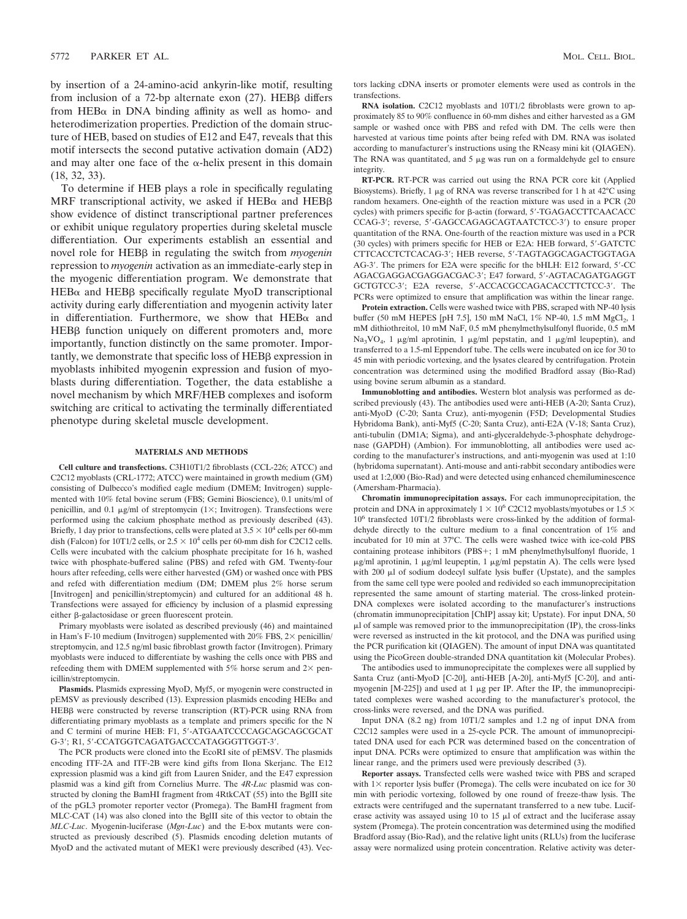by insertion of a 24-amino-acid ankyrin-like motif, resulting from inclusion of a 72-bp alternate exon  $(27)$ . HEB $\beta$  differs from HEB $\alpha$  in DNA binding affinity as well as homo- and heterodimerization properties. Prediction of the domain structure of HEB, based on studies of E12 and E47, reveals that this motif intersects the second putative activation domain (AD2) and may alter one face of the  $\alpha$ -helix present in this domain (18, 32, 33).

To determine if HEB plays a role in specifically regulating MRF transcriptional activity, we asked if  $HEB\alpha$  and  $HEB\beta$ show evidence of distinct transcriptional partner preferences or exhibit unique regulatory properties during skeletal muscle differentiation. Our experiments establish an essential and novel role for HEB<sub>β</sub> in regulating the switch from *myogenin* repression to *myogenin* activation as an immediate-early step in the myogenic differentiation program. We demonstrate that  $HEB\alpha$  and  $HEB\beta$  specifically regulate MyoD transcriptional activity during early differentiation and myogenin activity later in differentiation. Furthermore, we show that  $HEB\alpha$  and HEB<sub>B</sub> function uniquely on different promoters and, more importantly, function distinctly on the same promoter. Impor $t$  tantly, we demonstrate that specific loss of  $HEB\beta$  expression in myoblasts inhibited myogenin expression and fusion of myoblasts during differentiation. Together, the data establishe a novel mechanism by which MRF/HEB complexes and isoform switching are critical to activating the terminally differentiated phenotype during skeletal muscle development.

#### **MATERIALS AND METHODS**

**Cell culture and transfections.** C3H10T1/2 fibroblasts (CCL-226; ATCC) and C2C12 myoblasts (CRL-1772; ATCC) were maintained in growth medium (GM) consisting of Dulbecco's modified eagle medium (DMEM; Invitrogen) supplemented with 10% fetal bovine serum (FBS; Gemini Bioscience), 0.1 units/ml of penicillin, and 0.1  $\mu$ g/ml of streptomycin (1×; Invitrogen). Transfections were performed using the calcium phosphate method as previously described (43). Briefly, 1 day prior to transfections, cells were plated at  $3.5 \times 10^4$  cells per 60-mm dish (Falcon) for 10T1/2 cells, or  $2.5 \times 10^4$  cells per 60-mm dish for C2C12 cells. Cells were incubated with the calcium phosphate precipitate for 16 h, washed twice with phosphate-buffered saline (PBS) and refed with GM. Twenty-four hours after refeeding, cells were either harvested (GM) or washed once with PBS and refed with differentiation medium (DM; DMEM plus 2% horse serum [Invitrogen] and penicillin/streptomycin) and cultured for an additional 48 h. Transfections were assayed for efficiency by inclusion of a plasmid expressing either  $\beta$ -galactosidase or green fluorescent protein.

Primary myoblasts were isolated as described previously (46) and maintained in Ham's F-10 medium (Invitrogen) supplemented with 20% FBS,  $2\times$  penicillin/ streptomycin, and 12.5 ng/ml basic fibroblast growth factor (Invitrogen). Primary myoblasts were induced to differentiate by washing the cells once with PBS and refeeding them with DMEM supplemented with 5% horse serum and  $2\times$  penicillin/streptomycin.

**Plasmids.** Plasmids expressing MyoD, Myf5, or myogenin were constructed in  $pEMSV$  as previously described (13). Expression plasmids encoding  $HEB\alpha$  and HEBß were constructed by reverse transcription (RT)-PCR using RNA from differentiating primary myoblasts as a template and primers specific for the N and C termini of murine HEB: F1, 5-ATGAATCCCCAGCAGCAGCGCAT G-3'; R1, 5'-CCATGGTCAGATGACCCATAGGGTTGGT-3'.

The PCR products were cloned into the EcoRI site of pEMSV. The plasmids encoding ITF-2A and ITF-2B were kind gifts from Ilona Skerjanc. The E12 expression plasmid was a kind gift from Lauren Snider, and the E47 expression plasmid was a kind gift from Cornelius Murre. The *4R*-*Luc* plasmid was constructed by cloning the BamHI fragment from 4RtkCAT (55) into the BglII site of the pGL3 promoter reporter vector (Promega). The BamHI fragment from MLC-CAT (14) was also cloned into the BglII site of this vector to obtain the *MLC*-*Luc*. Myogenin-luciferase (*Mgn*-*Luc*) and the E-box mutants were constructed as previously described (5). Plasmids encoding deletion mutants of MyoD and the activated mutant of MEK1 were previously described (43). Vectors lacking cDNA inserts or promoter elements were used as controls in the transfections.

**RNA isolation.** C2C12 myoblasts and 10T1/2 fibroblasts were grown to approximately 85 to 90% confluence in 60-mm dishes and either harvested as a GM sample or washed once with PBS and refed with DM. The cells were then harvested at various time points after being refed with DM. RNA was isolated according to manufacturer's instructions using the RNeasy mini kit (QIAGEN). The RNA was quantitated, and  $5 \mu$ g was run on a formaldehyde gel to ensure integrity.

**RT-PCR.** RT-PCR was carried out using the RNA PCR core kit (Applied Biosystems). Briefly, 1  $\mu$ g of RNA was reverse transcribed for 1 h at 42 $\degree$ C using random hexamers. One-eighth of the reaction mixture was used in a PCR (20 cycles) with primers specific for β-actin (forward, 5'-TGAGACCTTCAACACC CCAG-3'; reverse, 5'-GAGCCAGAGCAGTAATCTCC-3') to ensure proper quantitation of the RNA. One-fourth of the reaction mixture was used in a PCR (30 cycles) with primers specific for HEB or E2A: HEB forward, 5-GATCTC CTTCACCTCTCACAG-3; HEB reverse, 5-TAGTAGGCAGACTGGTAGA AG-3'. The primers for E2A were specific for the bHLH: E12 forward, 5'-CC AGACGAGGACGAGGACGAC-3; E47 forward, 5-AGTACAGATGAGGT GCTGTCC-3'; E2A reverse, 5'-ACCACGCCAGACACCTTCTCC-3'. The PCRs were optimized to ensure that amplification was within the linear range.

**Protein extraction.** Cells were washed twice with PBS, scraped with NP-40 lysis buffer (50 mM HEPES [pH 7.5], 150 mM NaCl, 1% NP-40, 1.5 mM MgCl<sub>2</sub>, 1 mM dithiothreitol, 10 mM NaF, 0.5 mM phenylmethylsulfonyl fluoride, 0.5 mM Na<sub>3</sub>VO<sub>4</sub>, 1  $\mu$ g/ml aprotinin, 1  $\mu$ g/ml pepstatin, and 1  $\mu$ g/ml leupeptin), and transferred to a 1.5-ml Eppendorf tube. The cells were incubated on ice for 30 to 45 min with periodic vortexing, and the lysates cleared by centrifugation. Protein concentration was determined using the modified Bradford assay (Bio-Rad) using bovine serum albumin as a standard.

**Immunoblotting and antibodies.** Western blot analysis was performed as described previously (43). The antibodies used were anti-HEB (A-20; Santa Cruz), anti-MyoD (C-20; Santa Cruz), anti-myogenin (F5D; Developmental Studies Hybridoma Bank), anti-Myf5 (C-20; Santa Cruz), anti-E2A (V-18; Santa Cruz), anti-tubulin (DM1A; Sigma), and anti-glyceraldehyde-3-phosphate dehydrogenase (GAPDH) (Ambion). For immunoblotting, all antibodies were used according to the manufacturer's instructions, and anti-myogenin was used at 1:10 (hybridoma supernatant). Anti-mouse and anti-rabbit secondary antibodies were used at 1:2,000 (Bio-Rad) and were detected using enhanced chemiluminescence (Amersham-Pharmacia).

**Chromatin immunoprecipitation assays.** For each immunoprecipitation, the protein and DNA in approximately  $1 \times 10^6$  C2C12 myoblasts/myotubes or 1.5  $\times$ 10<sup>6</sup> transfected 10T1/2 fibroblasts were cross-linked by the addition of formaldehyde directly to the culture medium to a final concentration of 1% and incubated for 10 min at 37°C. The cells were washed twice with ice-cold PBS containing protease inhibitors (PBS+; 1 mM phenylmethylsulfonyl fluoride, 1  $\mu$ g/ml aprotinin, 1  $\mu$ g/ml leupeptin, 1  $\mu$ g/ml pepstatin A). The cells were lysed with 200 µl of sodium dodecyl sulfate lysis buffer (Upstate), and the samples from the same cell type were pooled and redivided so each immunoprecipitation represented the same amount of starting material. The cross-linked protein-DNA complexes were isolated according to the manufacturer's instructions (chromatin immunoprecipitation [ChIP] assay kit; Upstate). For input DNA, 50 l of sample was removed prior to the immunoprecipitation (IP), the cross-links were reversed as instructed in the kit protocol, and the DNA was purified using the PCR purification kit (QIAGEN). The amount of input DNA was quantitated using the PicoGreen double-stranded DNA quantitation kit (Molecular Probes).

The antibodies used to immunoprecipitate the complexes were all supplied by Santa Cruz (anti-MyoD [C-20], anti-HEB [A-20], anti-Myf5 [C-20], and antimyogenin [M-225]) and used at 1  $\mu$ g per IP. After the IP, the immunoprecipitated complexes were washed according to the manufacturer's protocol, the cross-links were reversed, and the DNA was purified.

Input DNA (8.2 ng) from 10T1/2 samples and 1.2 ng of input DNA from C2C12 samples were used in a 25-cycle PCR. The amount of immunoprecipitated DNA used for each PCR was determined based on the concentration of input DNA. PCRs were optimized to ensure that amplification was within the linear range, and the primers used were previously described (3).

**Reporter assays.** Transfected cells were washed twice with PBS and scraped with  $1 \times$  reporter lysis buffer (Promega). The cells were incubated on ice for 30 min with periodic vortexing, followed by one round of freeze-thaw lysis. The extracts were centrifuged and the supernatant transferred to a new tube. Luciferase activity was assayed using 10 to 15  $\mu$ l of extract and the luciferase assay system (Promega). The protein concentration was determined using the modified Bradford assay (Bio-Rad), and the relative light units (RLUs) from the luciferase assay were normalized using protein concentration. Relative activity was deter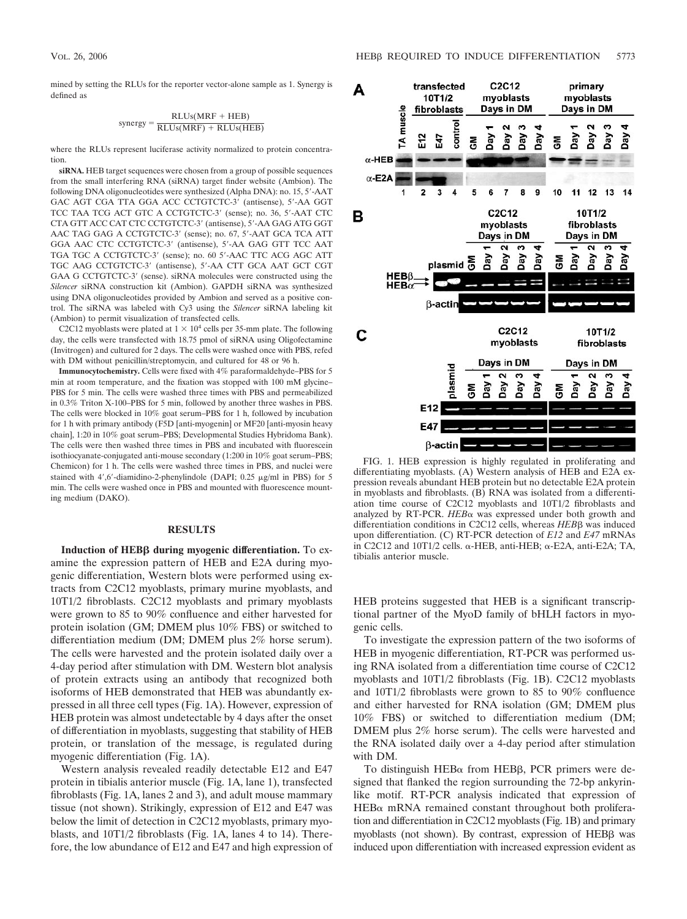mined by setting the RLUs for the reporter vector-alone sample as 1. Synergy is defined as

$$
synergy = \frac{RLUs(MRF + HEB)}{RLUs(MRF) + RLUs(HEB)}
$$

where the RLUs represent luciferase activity normalized to protein concentration.

**siRNA.** HEB target sequences were chosen from a group of possible sequences from the small interfering RNA (siRNA) target finder website (Ambion). The following DNA oligonucleotides were synthesized (Alpha DNA): no. 15, 5-AAT GAC AGT CGA TTA GGA ACC CCTGTCTC-3 (antisense), 5-AA GGT TCC TAA TCG ACT GTC A CCTGTCTC-3' (sense); no. 36, 5'-AAT CTC CTA GTT ACC CAT CTC CCTGTCTC-3 (antisense), 5-AA GAG ATG GGT AAC TAG GAG A CCTGTCTC-3' (sense); no. 67, 5'-AAT GCA TCA ATT GGA AAC CTC CCTGTCTC-3' (antisense), 5'-AA GAG GTT TCC AAT TGA TGC A CCTGTCTC-3 (sense); no. 60 5-AAC TTC ACG AGC ATT TGC AAG CCTGTCTC-3' (antisense), 5'-AA CTT GCA AAT GCT CGT GAA G CCTGTCTC-3' (sense). siRNA molecules were constructed using the *Silencer* siRNA construction kit (Ambion). GAPDH siRNA was synthesized using DNA oligonucleotides provided by Ambion and served as a positive control. The siRNA was labeled with Cy3 using the *Silencer* siRNA labeling kit (Ambion) to permit visualization of transfected cells.

C2C12 myoblasts were plated at  $1 \times 10^4$  cells per 35-mm plate. The following day, the cells were transfected with 18.75 pmol of siRNA using Oligofectamine (Invitrogen) and cultured for 2 days. The cells were washed once with PBS, refed with DM without penicillin/streptomycin, and cultured for 48 or 96 h.

**Immunocytochemistry.** Cells were fixed with 4% paraformaldehyde–PBS for 5 min at room temperature, and the fixation was stopped with 100 mM glycine– PBS for 5 min. The cells were washed three times with PBS and permeabilized in 0.3% Triton X-100–PBS for 5 min, followed by another three washes in PBS. The cells were blocked in 10% goat serum–PBS for 1 h, followed by incubation for 1 h with primary antibody (F5D [anti-myogenin] or MF20 [anti-myosin heavy chain], 1:20 in 10% goat serum–PBS; Developmental Studies Hybridoma Bank). The cells were then washed three times in PBS and incubated with fluorescein isothiocyanate-conjugated anti-mouse secondary (1:200 in 10% goat serum–PBS; Chemicon) for 1 h. The cells were washed three times in PBS, and nuclei were stained with  $4'$ ,6'-diamidino-2-phenylindole (DAPI; 0.25  $\mu$ g/ml in PBS) for 5 min. The cells were washed once in PBS and mounted with fluorescence mounting medium (DAKO).

#### **RESULTS**

**Induction of HEBβ during myogenic differentiation.** To examine the expression pattern of HEB and E2A during myogenic differentiation, Western blots were performed using extracts from C2C12 myoblasts, primary murine myoblasts, and 10T1/2 fibroblasts. C2C12 myoblasts and primary myoblasts were grown to 85 to 90% confluence and either harvested for protein isolation (GM; DMEM plus 10% FBS) or switched to differentiation medium (DM; DMEM plus 2% horse serum). The cells were harvested and the protein isolated daily over a 4-day period after stimulation with DM. Western blot analysis of protein extracts using an antibody that recognized both isoforms of HEB demonstrated that HEB was abundantly expressed in all three cell types (Fig. 1A). However, expression of HEB protein was almost undetectable by 4 days after the onset of differentiation in myoblasts, suggesting that stability of HEB protein, or translation of the message, is regulated during myogenic differentiation (Fig. 1A).

Western analysis revealed readily detectable E12 and E47 protein in tibialis anterior muscle (Fig. 1A, lane 1), transfected fibroblasts (Fig. 1A, lanes 2 and 3), and adult mouse mammary tissue (not shown). Strikingly, expression of E12 and E47 was below the limit of detection in C2C12 myoblasts, primary myoblasts, and 10T1/2 fibroblasts (Fig. 1A, lanes 4 to 14). Therefore, the low abundance of E12 and E47 and high expression of



FIG. 1. HEB expression is highly regulated in proliferating and differentiating myoblasts. (A) Western analysis of HEB and E2A expression reveals abundant HEB protein but no detectable E2A protein in myoblasts and fibroblasts. (B) RNA was isolated from a differentiation time course of C2C12 myoblasts and 10T1/2 fibroblasts and analyzed by RT-PCR.  $HEB\alpha$  was expressed under both growth and differentiation conditions in C2C12 cells, whereas *HEB* $\beta$  was induced upon differentiation. (C) RT-PCR detection of *E12* and *E47* mRNAs in C2C12 and 10T1/2 cells.  $\alpha$ -HEB, anti-HEB;  $\alpha$ -E2A, anti-E2A; TA, tibialis anterior muscle.

HEB proteins suggested that HEB is a significant transcriptional partner of the MyoD family of bHLH factors in myogenic cells.

To investigate the expression pattern of the two isoforms of HEB in myogenic differentiation, RT-PCR was performed using RNA isolated from a differentiation time course of C2C12 myoblasts and 10T1/2 fibroblasts (Fig. 1B). C2C12 myoblasts and 10T1/2 fibroblasts were grown to 85 to 90% confluence and either harvested for RNA isolation (GM; DMEM plus 10% FBS) or switched to differentiation medium (DM; DMEM plus 2% horse serum). The cells were harvested and the RNA isolated daily over a 4-day period after stimulation with DM.

To distinguish  $HEB\alpha$  from  $HEB\beta$ , PCR primers were designed that flanked the region surrounding the 72-bp ankyrinlike motif. RT-PCR analysis indicated that expression of  $HEB\alpha$  mRNA remained constant throughout both proliferation and differentiation in C2C12 myoblasts (Fig. 1B) and primary myoblasts (not shown). By contrast, expression of HEBB was induced upon differentiation with increased expression evident as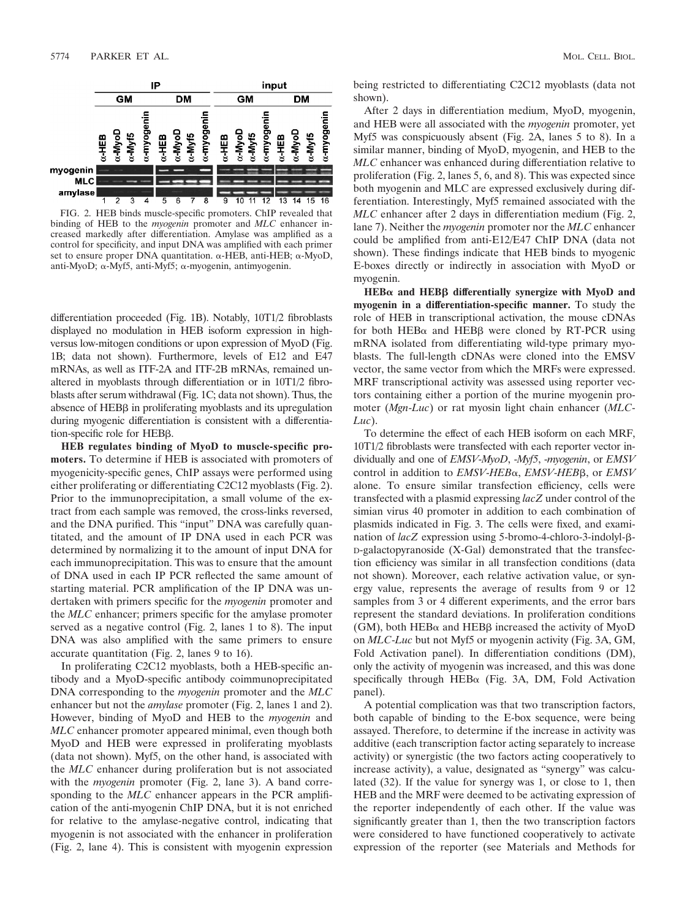

FIG. 2. HEB binds muscle-specific promoters. ChIP revealed that binding of HEB to the *myogenin* promoter and *MLC* enhancer increased markedly after differentiation. Amylase was amplified as a control for specificity, and input DNA was amplified with each primer set to ensure proper DNA quantitation.  $\alpha$ -HEB, anti-HEB;  $\alpha$ -MyoD, anti-MyoD;  $\alpha$ -Myf5, anti-Myf5;  $\alpha$ -myogenin, antimyogenin.

differentiation proceeded (Fig. 1B). Notably, 10T1/2 fibroblasts displayed no modulation in HEB isoform expression in highversus low-mitogen conditions or upon expression of MyoD (Fig. 1B; data not shown). Furthermore, levels of E12 and E47 mRNAs, as well as ITF-2A and ITF-2B mRNAs, remained unaltered in myoblasts through differentiation or in 10T1/2 fibroblasts after serum withdrawal (Fig. 1C; data not shown). Thus, the absence of HEB<sub>B</sub> in proliferating myoblasts and its upregulation during myogenic differentiation is consistent with a differentiation-specific role for HEB $\beta$ .

**HEB regulates binding of MyoD to muscle-specific promoters.** To determine if HEB is associated with promoters of myogenicity-specific genes, ChIP assays were performed using either proliferating or differentiating C2C12 myoblasts (Fig. 2). Prior to the immunoprecipitation, a small volume of the extract from each sample was removed, the cross-links reversed, and the DNA purified. This "input" DNA was carefully quantitated, and the amount of IP DNA used in each PCR was determined by normalizing it to the amount of input DNA for each immunoprecipitation. This was to ensure that the amount of DNA used in each IP PCR reflected the same amount of starting material. PCR amplification of the IP DNA was undertaken with primers specific for the *myogenin* promoter and the *MLC* enhancer; primers specific for the amylase promoter served as a negative control (Fig. 2, lanes 1 to 8). The input DNA was also amplified with the same primers to ensure accurate quantitation (Fig. 2, lanes 9 to 16).

In proliferating C2C12 myoblasts, both a HEB-specific antibody and a MyoD-specific antibody coimmunoprecipitated DNA corresponding to the *myogenin* promoter and the *MLC* enhancer but not the *amylase* promoter (Fig. 2, lanes 1 and 2). However, binding of MyoD and HEB to the *myogenin* and *MLC* enhancer promoter appeared minimal, even though both MyoD and HEB were expressed in proliferating myoblasts (data not shown). Myf5, on the other hand, is associated with the *MLC* enhancer during proliferation but is not associated with the *myogenin* promoter (Fig. 2, lane 3). A band corresponding to the *MLC* enhancer appears in the PCR amplification of the anti-myogenin ChIP DNA, but it is not enriched for relative to the amylase-negative control, indicating that myogenin is not associated with the enhancer in proliferation (Fig. 2, lane 4). This is consistent with myogenin expression

being restricted to differentiating C2C12 myoblasts (data not shown).

After 2 days in differentiation medium, MyoD, myogenin, and HEB were all associated with the *myogenin* promoter, yet Myf5 was conspicuously absent (Fig. 2A, lanes 5 to 8). In a similar manner, binding of MyoD, myogenin, and HEB to the *MLC* enhancer was enhanced during differentiation relative to proliferation (Fig. 2, lanes 5, 6, and 8). This was expected since both myogenin and MLC are expressed exclusively during differentiation. Interestingly, Myf5 remained associated with the *MLC* enhancer after 2 days in differentiation medium (Fig. 2, lane 7). Neither the *myogenin* promoter nor the *MLC* enhancer could be amplified from anti-E12/E47 ChIP DNA (data not shown). These findings indicate that HEB binds to myogenic E-boxes directly or indirectly in association with MyoD or myogenin.

HEBα and HEBβ differentially synergize with MyoD and **myogenin in a differentiation-specific manner.** To study the role of HEB in transcriptional activation, the mouse cDNAs for both HEB $\alpha$  and HEB $\beta$  were cloned by RT-PCR using mRNA isolated from differentiating wild-type primary myoblasts. The full-length cDNAs were cloned into the EMSV vector, the same vector from which the MRFs were expressed. MRF transcriptional activity was assessed using reporter vectors containing either a portion of the murine myogenin promoter (*Mgn*-*Luc*) or rat myosin light chain enhancer (*MLC*-*Luc*).

To determine the effect of each HEB isoform on each MRF, 10T1/2 fibroblasts were transfected with each reporter vector individually and one of *EMSV*-*MyoD*, -*Myf5*, -*myogenin*, or *EMSV* control in addition to *EMSV*-*HEB*, *EMSV*-*HEB*-, or *EMSV* alone. To ensure similar transfection efficiency, cells were transfected with a plasmid expressing *lacZ* under control of the simian virus 40 promoter in addition to each combination of plasmids indicated in Fig. 3. The cells were fixed, and examination of *lacZ* expression using 5-bromo-4-chloro-3-indolyl-β-D-galactopyranoside (X-Gal) demonstrated that the transfection efficiency was similar in all transfection conditions (data not shown). Moreover, each relative activation value, or synergy value, represents the average of results from 9 or 12 samples from 3 or 4 different experiments, and the error bars represent the standard deviations. In proliferation conditions (GM), both HEB $\alpha$  and HEB $\beta$  increased the activity of MyoD on *MLC*-*Luc* but not Myf5 or myogenin activity (Fig. 3A, GM, Fold Activation panel). In differentiation conditions (DM), only the activity of myogenin was increased, and this was done specifically through HEB $\alpha$  (Fig. 3A, DM, Fold Activation panel).

A potential complication was that two transcription factors, both capable of binding to the E-box sequence, were being assayed. Therefore, to determine if the increase in activity was additive (each transcription factor acting separately to increase activity) or synergistic (the two factors acting cooperatively to increase activity), a value, designated as "synergy" was calculated (32). If the value for synergy was 1, or close to 1, then HEB and the MRF were deemed to be activating expression of the reporter independently of each other. If the value was significantly greater than 1, then the two transcription factors were considered to have functioned cooperatively to activate expression of the reporter (see Materials and Methods for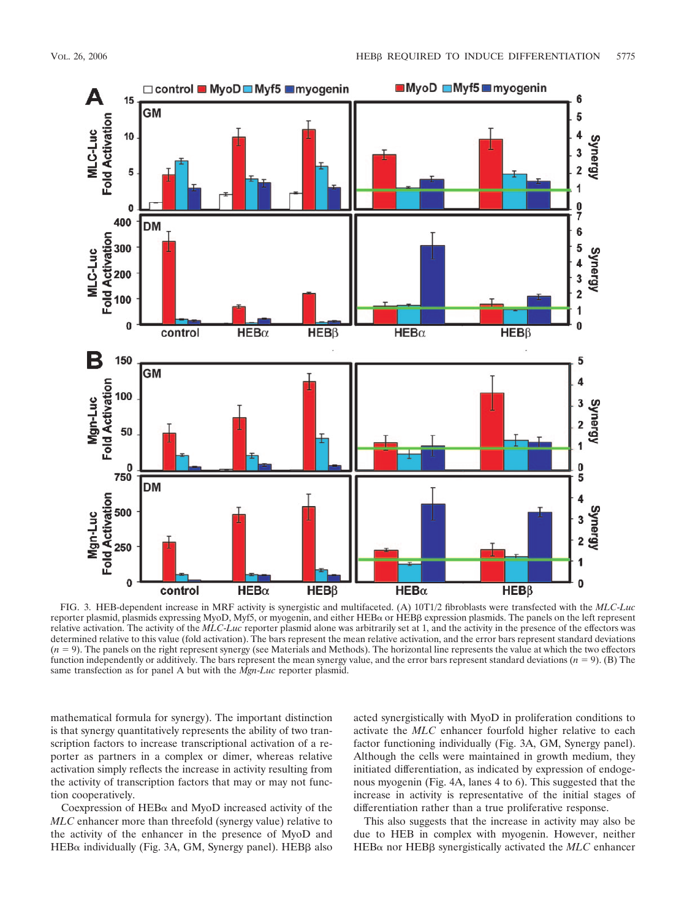

FIG. 3. HEB-dependent increase in MRF activity is synergistic and multifaceted. (A) 10T1/2 fibroblasts were transfected with the *MLC*-*Luc* reporter plasmid, plasmids expressing MyoD, Myf5, or myogenin, and either HEBα or HEBβ expression plasmids. The panels on the left represent relative activation. The activity of the *MLC*-*Luc* reporter plasmid alone was arbitrarily set at 1, and the activity in the presence of the effectors was determined relative to this value (fold activation). The bars represent the mean relative activation, and the error bars represent standard deviations  $(n = 9)$ . The panels on the right represent synergy (see Materials and Methods). The horizontal line represents the value at which the two effectors function independently or additively. The bars represent the mean synergy value, and the error bars represent standard deviations  $(n = 9)$ . (B) The same transfection as for panel A but with the *Mgn*-*Luc* reporter plasmid.

mathematical formula for synergy). The important distinction is that synergy quantitatively represents the ability of two transcription factors to increase transcriptional activation of a reporter as partners in a complex or dimer, whereas relative activation simply reflects the increase in activity resulting from the activity of transcription factors that may or may not function cooperatively.

Coexpression of  $HEB\alpha$  and MyoD increased activity of the *MLC* enhancer more than threefold (synergy value) relative to the activity of the enhancer in the presence of MyoD and HEB $\alpha$  individually (Fig. 3A, GM, Synergy panel). HEBB also

acted synergistically with MyoD in proliferation conditions to activate the *MLC* enhancer fourfold higher relative to each factor functioning individually (Fig. 3A, GM, Synergy panel). Although the cells were maintained in growth medium, they initiated differentiation, as indicated by expression of endogenous myogenin (Fig. 4A, lanes 4 to 6). This suggested that the increase in activity is representative of the initial stages of differentiation rather than a true proliferative response.

This also suggests that the increase in activity may also be due to HEB in complex with myogenin. However, neither HEB $\alpha$  nor HEBB synergistically activated the *MLC* enhancer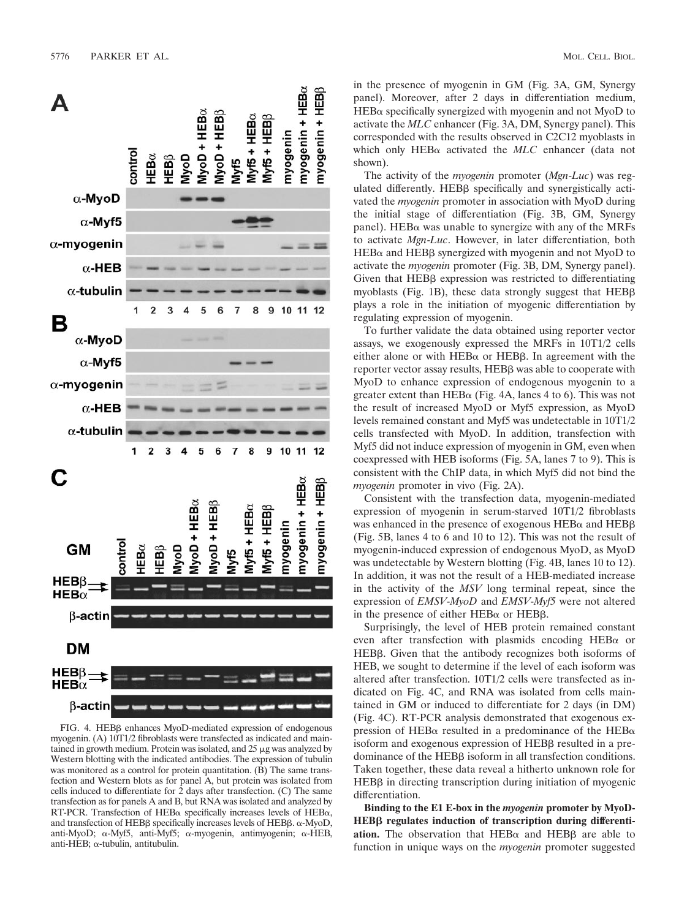

FIG. 4. HEBB enhances MyoD-mediated expression of endogenous myogenin. (A) 10T1/2 fibroblasts were transfected as indicated and maintained in growth medium. Protein was isolated, and  $25 \mu$ g was analyzed by Western blotting with the indicated antibodies. The expression of tubulin was monitored as a control for protein quantitation. (B) The same transfection and Western blots as for panel A, but protein was isolated from cells induced to differentiate for  $\overline{2}$  days after transfection. (C) The same transfection as for panels A and B, but RNA was isolated and analyzed by RT-PCR. Transfection of HEB $\alpha$  specifically increases levels of HEB $\alpha$ , and transfection of HEB $\beta$  specifically increases levels of HEB $\beta$ .  $\alpha$ -MyoD, anti-MyoD;  $\alpha$ -Myf5, anti-Myf5;  $\alpha$ -myogenin, antimyogenin;  $\alpha$ -HEB, anti-HEB;  $\alpha$ -tubulin, antitubulin.

in the presence of myogenin in GM (Fig. 3A, GM, Synergy panel). Moreover, after 2 days in differentiation medium,  $HEB\alpha$  specifically synergized with myogenin and not MyoD to activate the *MLC* enhancer (Fig. 3A, DM, Synergy panel). This corresponded with the results observed in C2C12 myoblasts in which only HEB $\alpha$  activated the *MLC* enhancer (data not shown).

The activity of the *myogenin* promoter (*Mgn*-*Luc*) was regulated differently. HEBB specifically and synergistically activated the *myogenin* promoter in association with MyoD during the initial stage of differentiation (Fig. 3B, GM, Synergy panel). HEB $\alpha$  was unable to synergize with any of the MRFs to activate *Mgn*-*Luc*. However, in later differentiation, both HEB $\alpha$  and HEB $\beta$  synergized with myogenin and not MyoD to activate the *myogenin* promoter (Fig. 3B, DM, Synergy panel). Given that  $HEB\beta$  expression was restricted to differentiating myoblasts (Fig. 1B), these data strongly suggest that  $HEB\beta$ plays a role in the initiation of myogenic differentiation by regulating expression of myogenin.

To further validate the data obtained using reporter vector assays, we exogenously expressed the MRFs in 10T1/2 cells either alone or with  $HEB\alpha$  or  $HEB\beta$ . In agreement with the reporter vector assay results, HEBB was able to cooperate with MyoD to enhance expression of endogenous myogenin to a greater extent than HEB $\alpha$  (Fig. 4A, lanes 4 to 6). This was not the result of increased MyoD or Myf5 expression, as MyoD levels remained constant and Myf5 was undetectable in 10T1/2 cells transfected with MyoD. In addition, transfection with Myf5 did not induce expression of myogenin in GM, even when coexpressed with HEB isoforms (Fig. 5A, lanes 7 to 9). This is consistent with the ChIP data, in which Myf5 did not bind the *myogenin* promoter in vivo (Fig. 2A).

Consistent with the transfection data, myogenin-mediated expression of myogenin in serum-starved 10T1/2 fibroblasts was enhanced in the presence of exogenous  $HEB\alpha$  and  $HEB\beta$ (Fig. 5B, lanes 4 to 6 and 10 to 12). This was not the result of myogenin-induced expression of endogenous MyoD, as MyoD was undetectable by Western blotting (Fig. 4B, lanes 10 to 12). In addition, it was not the result of a HEB-mediated increase in the activity of the *MSV* long terminal repeat, since the expression of *EMSV*-*MyoD* and *EMSV*-*Myf5* were not altered in the presence of either  $HEB\alpha$  or  $HEB\beta$ .

Surprisingly, the level of HEB protein remained constant even after transfection with plasmids encoding HEB $\alpha$  or HEBB. Given that the antibody recognizes both isoforms of HEB, we sought to determine if the level of each isoform was altered after transfection. 10T1/2 cells were transfected as indicated on Fig. 4C, and RNA was isolated from cells maintained in GM or induced to differentiate for 2 days (in DM) (Fig. 4C). RT-PCR analysis demonstrated that exogenous expression of HEB $\alpha$  resulted in a predominance of the HEB $\alpha$ isoform and exogenous expression of  $HEB\beta$  resulted in a predominance of the  $HEB\beta$  isoform in all transfection conditions. Taken together, these data reveal a hitherto unknown role for  $HEB\beta$  in directing transcription during initiation of myogenic differentiation.

**Binding to the E1 E-box in the** *myogenin* **promoter by MyoD-**HEB<sub>p</sub> regulates induction of transcription during differenti**ation.** The observation that  $HEB\alpha$  and  $HEB\beta$  are able to function in unique ways on the *myogenin* promoter suggested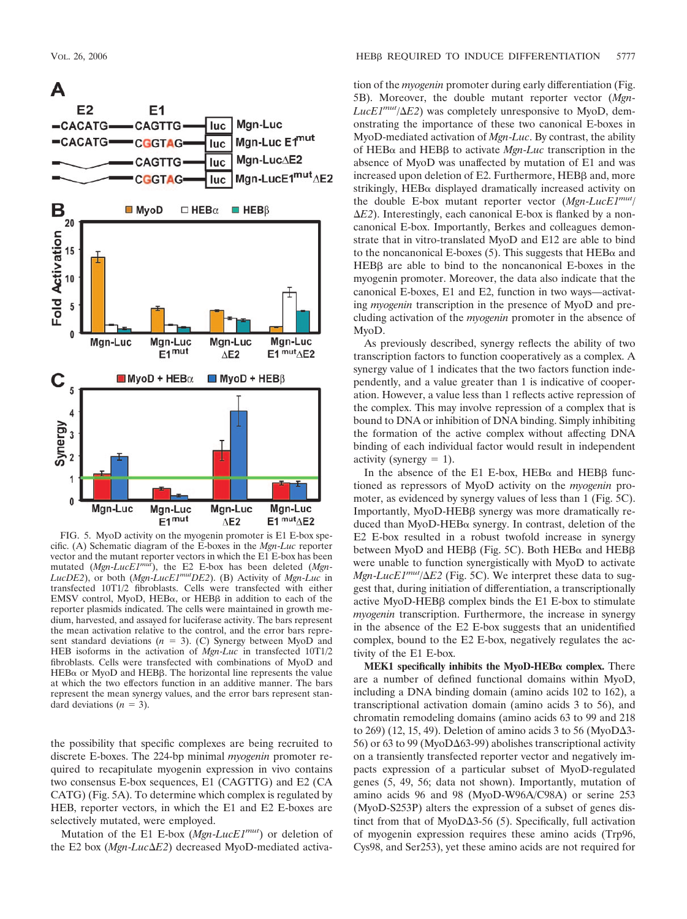

FIG. 5. MyoD activity on the myogenin promoter is E1 E-box specific. (A) Schematic diagram of the E-boxes in the *Mgn*-*Luc* reporter vector and the mutant reporter vectors in which the E1 E-box has been mutated (*Mgn*-*LucE1mut*), the E2 E-box has been deleted (*Mgn*-*LucDE2*), or both (*Mgn*-*LucE1mutDE2*). (B) Activity of *Mgn*-*Luc* in transfected 10T1/2 fibroblasts. Cells were transfected with either EMSV control, MyoD,  $HEB\alpha$ , or  $HEB\beta$  in addition to each of the reporter plasmids indicated. The cells were maintained in growth medium, harvested, and assayed for luciferase activity. The bars represent the mean activation relative to the control, and the error bars represent standard deviations  $(n = 3)$ . (C) Synergy between MyoD and HEB isoforms in the activation of *Mgn*-*Luc* in transfected 10T1/2 fibroblasts. Cells were transfected with combinations of MyoD and  $HEB\alpha$  or MyoD and  $HEB\beta$ . The horizontal line represents the value at which the two effectors function in an additive manner. The bars represent the mean synergy values, and the error bars represent standard deviations  $(n = 3)$ .

the possibility that specific complexes are being recruited to discrete E-boxes. The 224-bp minimal *myogenin* promoter required to recapitulate myogenin expression in vivo contains two consensus E-box sequences, E1 (CAGTTG) and E2 (CA CATG) (Fig. 5A). To determine which complex is regulated by HEB, reporter vectors, in which the E1 and E2 E-boxes are selectively mutated, were employed.

Mutation of the E1 E-box (*Mgn*-*LucE1mut*) or deletion of the E2 box (*Mgn*-*LucE2*) decreased MyoD-mediated activation of the *myogenin* promoter during early differentiation (Fig. 5B). Moreover, the double mutant reporter vector (*Mgn*- $LucE1^{mut}/\Delta E2$ ) was completely unresponsive to MyoD, demonstrating the importance of these two canonical E-boxes in MyoD-mediated activation of *Mgn*-*Luc*. By contrast, the ability of HEBα and HEBβ to activate *Mgn-Luc* transcription in the absence of MyoD was unaffected by mutation of E1 and was increased upon deletion of E2. Furthermore, HEBB and, more strikingly,  $HEB\alpha$  displayed dramatically increased activity on the double E-box mutant reporter vector (*Mgn*-*LucE1mut*/  $\Delta E2$ ). Interestingly, each canonical E-box is flanked by a noncanonical E-box. Importantly, Berkes and colleagues demonstrate that in vitro-translated MyoD and E12 are able to bind to the noncanonical E-boxes (5). This suggests that  $HEB\alpha$  and  $HEB\beta$  are able to bind to the noncanonical E-boxes in the myogenin promoter. Moreover, the data also indicate that the canonical E-boxes, E1 and E2, function in two ways—activating *myogenin* transcription in the presence of MyoD and precluding activation of the *myogenin* promoter in the absence of MyoD.

As previously described, synergy reflects the ability of two transcription factors to function cooperatively as a complex. A synergy value of 1 indicates that the two factors function independently, and a value greater than 1 is indicative of cooperation. However, a value less than 1 reflects active repression of the complex. This may involve repression of a complex that is bound to DNA or inhibition of DNA binding. Simply inhibiting the formation of the active complex without affecting DNA binding of each individual factor would result in independent activity (synergy  $= 1$ ).

In the absence of the E1 E-box,  $HEB\alpha$  and  $HEB\beta$  functioned as repressors of MyoD activity on the *myogenin* promoter, as evidenced by synergy values of less than 1 (Fig. 5C). Importantly, MyoD-HEBB synergy was more dramatically reduced than MyoD-HEB $\alpha$  synergy. In contrast, deletion of the E2 E-box resulted in a robust twofold increase in synergy between MyoD and HEB $\beta$  (Fig. 5C). Both HEB $\alpha$  and HEB $\beta$ were unable to function synergistically with MyoD to activate *Mgn-LucE1<sup>mut</sup>*/ $\Delta E2$  (Fig. 5C). We interpret these data to suggest that, during initiation of differentiation, a transcriptionally active MyoD-HEB $\beta$  complex binds the E1 E-box to stimulate *myogenin* transcription. Furthermore, the increase in synergy in the absence of the E2 E-box suggests that an unidentified complex, bound to the E2 E-box, negatively regulates the activity of the E1 E-box.

**MEK1** specifically inhibits the MyoD-HEB $\alpha$  complex. There are a number of defined functional domains within MyoD, including a DNA binding domain (amino acids 102 to 162), a transcriptional activation domain (amino acids 3 to 56), and chromatin remodeling domains (amino acids 63 to 99 and 218 to 269) (12, 15, 49). Deletion of amino acids 3 to 56 (MyoD $\Delta$ 3-56) or 63 to 99 (MyoD $\Delta$ 63-99) abolishes transcriptional activity on a transiently transfected reporter vector and negatively impacts expression of a particular subset of MyoD-regulated genes (5, 49, 56; data not shown). Importantly, mutation of amino acids 96 and 98 (MyoD-W96A/C98A) or serine 253 (MyoD-S253P) alters the expression of a subset of genes distinct from that of MyoD $\Delta$ 3-56 (5). Specifically, full activation of myogenin expression requires these amino acids (Trp96, Cys98, and Ser253), yet these amino acids are not required for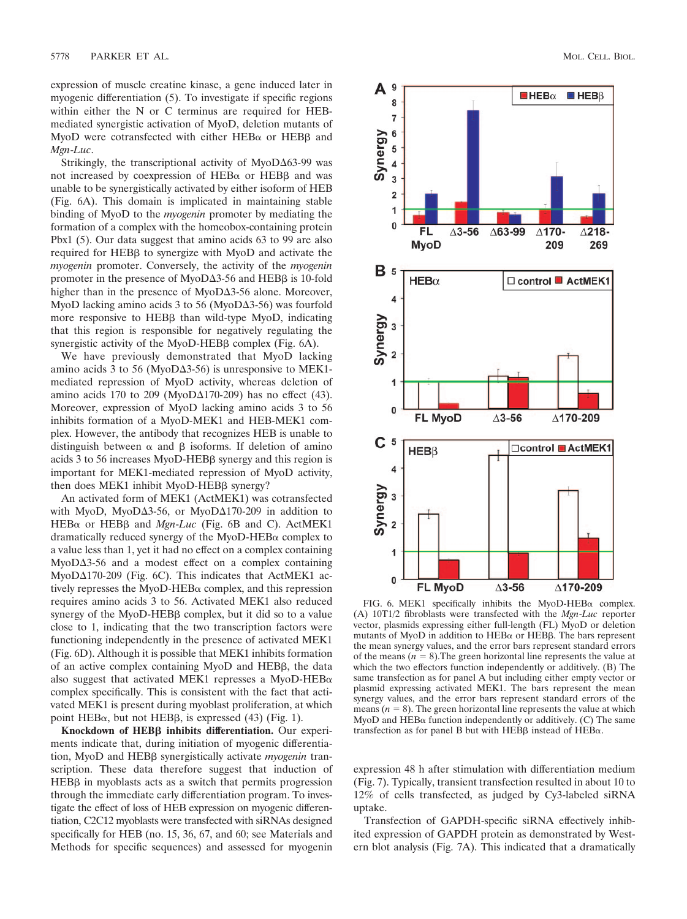expression of muscle creatine kinase, a gene induced later in myogenic differentiation (5). To investigate if specific regions within either the N or C terminus are required for HEBmediated synergistic activation of MyoD, deletion mutants of MyoD were cotransfected with either  $HEB\alpha$  or  $HEB\beta$  and *Mgn*-*Luc*.

Strikingly, the transcriptional activity of  $MyoD\Delta63-99$  was not increased by coexpression of  $HEB\alpha$  or  $HEB\beta$  and was unable to be synergistically activated by either isoform of HEB (Fig. 6A). This domain is implicated in maintaining stable binding of MyoD to the *myogenin* promoter by mediating the formation of a complex with the homeobox-containing protein Pbx1 (5). Our data suggest that amino acids 63 to 99 are also required for HEBB to synergize with MyoD and activate the *myogenin* promoter. Conversely, the activity of the *myogenin* promoter in the presence of MyoD $\Delta$ 3-56 and HEB $\beta$  is 10-fold higher than in the presence of MyoD $\Delta$ 3-56 alone. Moreover, MyoD lacking amino acids 3 to 56 (MyoD $\Delta$ 3-56) was fourfold more responsive to HEBB than wild-type MyoD, indicating that this region is responsible for negatively regulating the synergistic activity of the MyoD-HEBB complex (Fig. 6A).

We have previously demonstrated that MyoD lacking amino acids 3 to 56 (MyoD $\Delta$ 3-56) is unresponsive to MEK1mediated repression of MyoD activity, whereas deletion of amino acids 170 to 209 (MyoD $\Delta$ 170-209) has no effect (43). Moreover, expression of MyoD lacking amino acids 3 to 56 inhibits formation of a MyoD-MEK1 and HEB-MEK1 complex. However, the antibody that recognizes HEB is unable to distinguish between  $\alpha$  and  $\beta$  isoforms. If deletion of amino acids 3 to 56 increases MyoD-HEBB synergy and this region is important for MEK1-mediated repression of MyoD activity, then does MEK1 inhibit MyoD-HEBβ synergy?

An activated form of MEK1 (ActMEK1) was cotransfected with MyoD, MyoD $\Delta$ 3-56, or MyoD $\Delta$ 170-209 in addition to HEBα or HEBβ and *Mgn-Luc* (Fig. 6B and C). ActMEK1 dramatically reduced synergy of the MyoD-HEB $\alpha$  complex to a value less than 1, yet it had no effect on a complex containing MyoD3-56 and a modest effect on a complex containing MyoD $\Delta$ 170-209 (Fig. 6C). This indicates that ActMEK1 actively represses the MyoD-HEB $\alpha$  complex, and this repression requires amino acids 3 to 56. Activated MEK1 also reduced synergy of the MyoD-HEBB complex, but it did so to a value close to 1, indicating that the two transcription factors were functioning independently in the presence of activated MEK1 (Fig. 6D). Although it is possible that MEK1 inhibits formation of an active complex containing MyoD and HEBB, the data also suggest that activated MEK1 represses a MyoD-HEB $\alpha$ complex specifically. This is consistent with the fact that activated MEK1 is present during myoblast proliferation, at which point HEB $\alpha$ , but not HEB $\beta$ , is expressed (43) (Fig. 1).

Knockdown of HEBß inhibits differentiation. Our experiments indicate that, during initiation of myogenic differentiation, MyoD and HEB<sub>B</sub> synergistically activate *myogenin* transcription. These data therefore suggest that induction of  $HEB\beta$  in myoblasts acts as a switch that permits progression through the immediate early differentiation program. To investigate the effect of loss of HEB expression on myogenic differentiation, C2C12 myoblasts were transfected with siRNAs designed specifically for HEB (no. 15, 36, 67, and 60; see Materials and Methods for specific sequences) and assessed for myogenin



FIG. 6. MEK1 specifically inhibits the MyoD-HEB $\alpha$  complex. (A) 10T1/2 fibroblasts were transfected with the *Mgn*-*Luc* reporter vector, plasmids expressing either full-length (FL) MyoD or deletion mutants of MyoD in addition to  $HEB\alpha$  or  $HEB\beta$ . The bars represent the mean synergy values, and the error bars represent standard errors of the means  $(n = 8)$ . The green horizontal line represents the value at which the two effectors function independently or additively. (B) The same transfection as for panel A but including either empty vector or plasmid expressing activated MEK1. The bars represent the mean synergy values, and the error bars represent standard errors of the means  $(n = 8)$ . The green horizontal line represents the value at which MyoD and  $HEB\alpha$  function independently or additively. (C) The same transfection as for panel B but with  $HEB\beta$  instead of  $HEB\alpha$ .

expression 48 h after stimulation with differentiation medium (Fig. 7). Typically, transient transfection resulted in about 10 to 12% of cells transfected, as judged by Cy3-labeled siRNA uptake.

Transfection of GAPDH-specific siRNA effectively inhibited expression of GAPDH protein as demonstrated by Western blot analysis (Fig. 7A). This indicated that a dramatically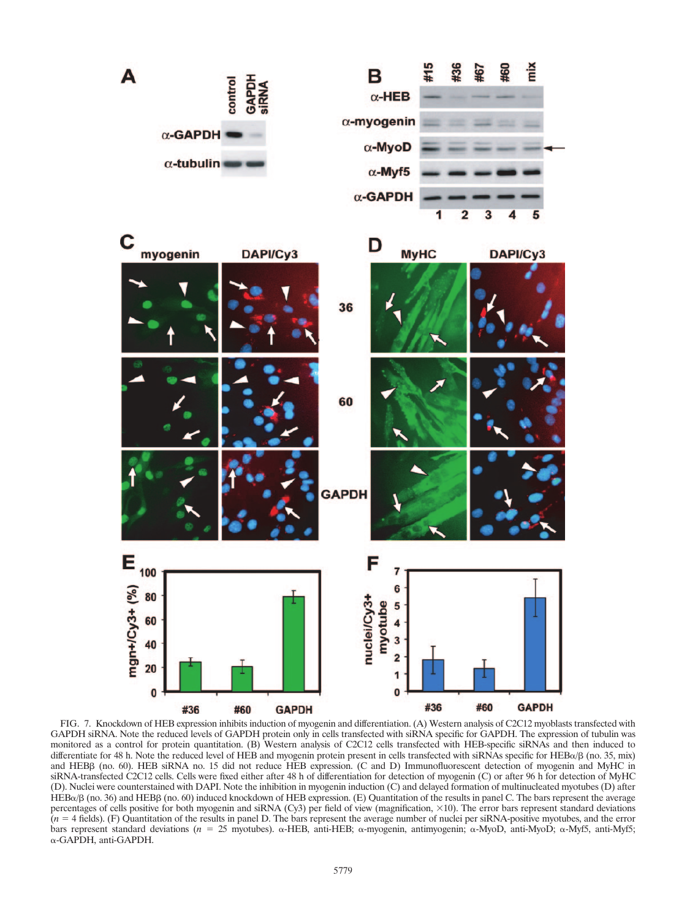

FIG. 7. Knockdown of HEB expression inhibits induction of myogenin and differentiation. (A) Western analysis of C2C12 myoblasts transfected with GAPDH siRNA. Note the reduced levels of GAPDH protein only in cells transfected with siRNA specific for GAPDH. The expression of tubulin was monitored as a control for protein quantitation. (B) Western analysis of C2C12 cells transfected with HEB-specific siRNAs and then induced to differentiate for 48 h. Note the reduced level of HEB and myogenin protein present in cells transfected with siRNAs specific for HEB $\alpha/\beta$  (no. 35, mix) and HEBβ (no. 60). HEB siRNA no. 15 did not reduce HEB expression. (C and D) Immunofluorescent detection of myogenin and MyHC in siRNA-transfected C2C12 cells. Cells were fixed either after 48 h of differentiation for detection of myogenin (C) or after 96 h for detection of MyHC (D). Nuclei were counterstained with DAPI. Note the inhibition in myogenin induction (C) and delayed formation of multinucleated myotubes (D) after  $HEB\alpha/\beta$  (no. 36) and HEB $\beta$  (no. 60) induced knockdown of HEB expression. (E) Quantitation of the results in panel C. The bars represent the average percentages of cells positive for both myogenin and siRNA (Cy3) per field of view (magnification,  $\times$ 10). The error bars represent standard deviations  $(n = 4$  fields). (F) Quantitation of the results in panel D. The bars represent the average number of nuclei per siRNA-positive myotubes, and the error bars represent standard deviations (*n* = 25 myotubes).  $\alpha$ -HEB, anti-HEB;  $\alpha$ -myogenin, antimyogenin;  $\alpha$ -MyoD, anti-MyoD;  $\alpha$ -Myf5; anti-Myf5; -GAPDH, anti-GAPDH.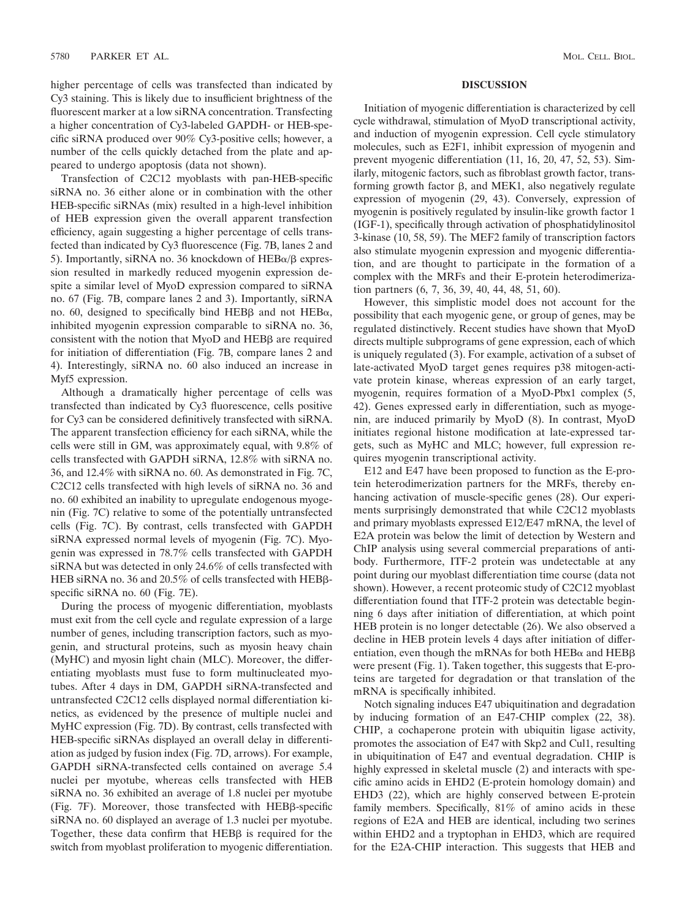higher percentage of cells was transfected than indicated by Cy3 staining. This is likely due to insufficient brightness of the fluorescent marker at a low siRNA concentration. Transfecting a higher concentration of Cy3-labeled GAPDH- or HEB-specific siRNA produced over 90% Cy3-positive cells; however, a number of the cells quickly detached from the plate and appeared to undergo apoptosis (data not shown).

Transfection of C2C12 myoblasts with pan-HEB-specific siRNA no. 36 either alone or in combination with the other HEB-specific siRNAs (mix) resulted in a high-level inhibition of HEB expression given the overall apparent transfection efficiency, again suggesting a higher percentage of cells transfected than indicated by Cy3 fluorescence (Fig. 7B, lanes 2 and 5). Importantly, siRNA no. 36 knockdown of  $HEB\alpha/\beta$  expression resulted in markedly reduced myogenin expression despite a similar level of MyoD expression compared to siRNA no. 67 (Fig. 7B, compare lanes 2 and 3). Importantly, siRNA no. 60, designed to specifically bind  $HEB\beta$  and not  $HEB\alpha$ , inhibited myogenin expression comparable to siRNA no. 36, consistent with the notion that MyoD and HEBB are required for initiation of differentiation (Fig. 7B, compare lanes 2 and 4). Interestingly, siRNA no. 60 also induced an increase in Myf5 expression.

Although a dramatically higher percentage of cells was transfected than indicated by Cy3 fluorescence, cells positive for Cy3 can be considered definitively transfected with siRNA. The apparent transfection efficiency for each siRNA, while the cells were still in GM, was approximately equal, with 9.8% of cells transfected with GAPDH siRNA, 12.8% with siRNA no. 36, and 12.4% with siRNA no. 60. As demonstrated in Fig. 7C, C2C12 cells transfected with high levels of siRNA no. 36 and no. 60 exhibited an inability to upregulate endogenous myogenin (Fig. 7C) relative to some of the potentially untransfected cells (Fig. 7C). By contrast, cells transfected with GAPDH siRNA expressed normal levels of myogenin (Fig. 7C). Myogenin was expressed in 78.7% cells transfected with GAPDH siRNA but was detected in only 24.6% of cells transfected with HEB siRNA no. 36 and 20.5% of cells transfected with  $\text{HEBB-}$ specific siRNA no. 60 (Fig. 7E).

During the process of myogenic differentiation, myoblasts must exit from the cell cycle and regulate expression of a large number of genes, including transcription factors, such as myogenin, and structural proteins, such as myosin heavy chain (MyHC) and myosin light chain (MLC). Moreover, the differentiating myoblasts must fuse to form multinucleated myotubes. After 4 days in DM, GAPDH siRNA-transfected and untransfected C2C12 cells displayed normal differentiation kinetics, as evidenced by the presence of multiple nuclei and MyHC expression (Fig. 7D). By contrast, cells transfected with HEB-specific siRNAs displayed an overall delay in differentiation as judged by fusion index (Fig. 7D, arrows). For example, GAPDH siRNA-transfected cells contained on average 5.4 nuclei per myotube, whereas cells transfected with HEB siRNA no. 36 exhibited an average of 1.8 nuclei per myotube (Fig. 7F). Moreover, those transfected with HEBB-specific siRNA no. 60 displayed an average of 1.3 nuclei per myotube. Together, these data confirm that  $HEB\beta$  is required for the switch from myoblast proliferation to myogenic differentiation.

#### **DISCUSSION**

Initiation of myogenic differentiation is characterized by cell cycle withdrawal, stimulation of MyoD transcriptional activity, and induction of myogenin expression. Cell cycle stimulatory molecules, such as E2F1, inhibit expression of myogenin and prevent myogenic differentiation (11, 16, 20, 47, 52, 53). Similarly, mitogenic factors, such as fibroblast growth factor, transforming growth factor  $\beta$ , and MEK1, also negatively regulate expression of myogenin (29, 43). Conversely, expression of myogenin is positively regulated by insulin-like growth factor 1 (IGF-1), specifically through activation of phosphatidylinositol 3-kinase (10, 58, 59). The MEF2 family of transcription factors also stimulate myogenin expression and myogenic differentiation, and are thought to participate in the formation of a complex with the MRFs and their E-protein heterodimerization partners (6, 7, 36, 39, 40, 44, 48, 51, 60).

However, this simplistic model does not account for the possibility that each myogenic gene, or group of genes, may be regulated distinctively. Recent studies have shown that MyoD directs multiple subprograms of gene expression, each of which is uniquely regulated (3). For example, activation of a subset of late-activated MyoD target genes requires p38 mitogen-activate protein kinase, whereas expression of an early target, myogenin, requires formation of a MyoD-Pbx1 complex (5, 42). Genes expressed early in differentiation, such as myogenin, are induced primarily by MyoD (8). In contrast, MyoD initiates regional histone modification at late-expressed targets, such as MyHC and MLC; however, full expression requires myogenin transcriptional activity.

E12 and E47 have been proposed to function as the E-protein heterodimerization partners for the MRFs, thereby enhancing activation of muscle-specific genes (28). Our experiments surprisingly demonstrated that while C2C12 myoblasts and primary myoblasts expressed E12/E47 mRNA, the level of E2A protein was below the limit of detection by Western and ChIP analysis using several commercial preparations of antibody. Furthermore, ITF-2 protein was undetectable at any point during our myoblast differentiation time course (data not shown). However, a recent proteomic study of C2C12 myoblast differentiation found that ITF-2 protein was detectable beginning 6 days after initiation of differentiation, at which point HEB protein is no longer detectable (26). We also observed a decline in HEB protein levels 4 days after initiation of differentiation, even though the mRNAs for both  $HEB\alpha$  and  $HEB\beta$ were present (Fig. 1). Taken together, this suggests that E-proteins are targeted for degradation or that translation of the mRNA is specifically inhibited.

Notch signaling induces E47 ubiquitination and degradation by inducing formation of an E47-CHIP complex (22, 38). CHIP, a cochaperone protein with ubiquitin ligase activity, promotes the association of E47 with Skp2 and Cul1, resulting in ubiquitination of E47 and eventual degradation. CHIP is highly expressed in skeletal muscle (2) and interacts with specific amino acids in EHD2 (E-protein homology domain) and EHD3 (22), which are highly conserved between E-protein family members. Specifically, 81% of amino acids in these regions of E2A and HEB are identical, including two serines within EHD2 and a tryptophan in EHD3, which are required for the E2A-CHIP interaction. This suggests that HEB and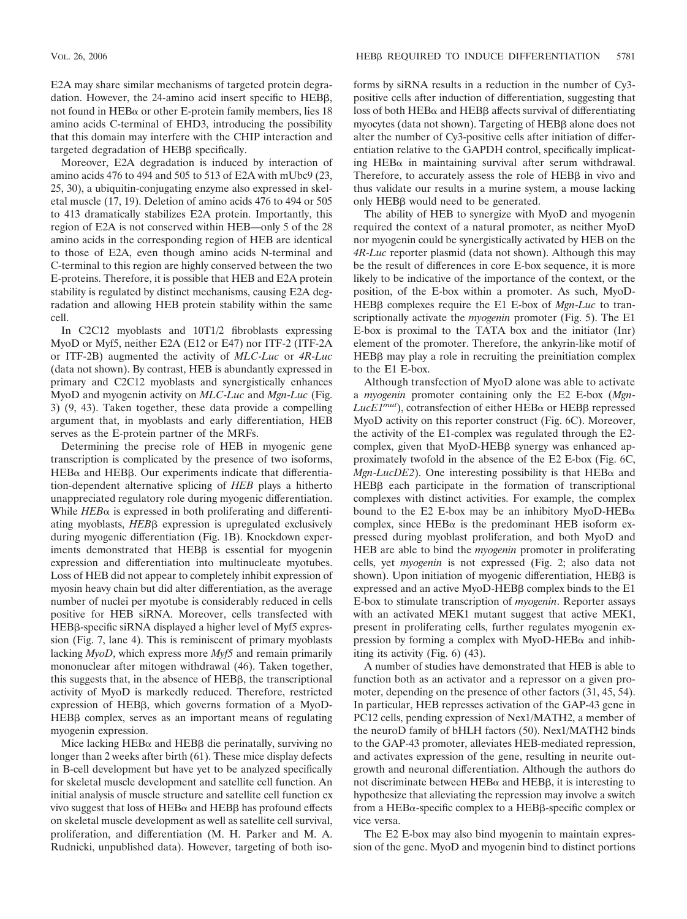E2A may share similar mechanisms of targeted protein degradation. However, the 24-amino acid insert specific to HEBB, not found in  $HEB\alpha$  or other E-protein family members, lies 18 amino acids C-terminal of EHD3, introducing the possibility that this domain may interfere with the CHIP interaction and targeted degradation of HEBß specifically.

Moreover, E2A degradation is induced by interaction of amino acids 476 to 494 and 505 to 513 of E2A with mUbc9 (23, 25, 30), a ubiquitin-conjugating enzyme also expressed in skeletal muscle (17, 19). Deletion of amino acids 476 to 494 or 505 to 413 dramatically stabilizes E2A protein. Importantly, this region of E2A is not conserved within HEB—only 5 of the 28 amino acids in the corresponding region of HEB are identical to those of E2A, even though amino acids N-terminal and C-terminal to this region are highly conserved between the two E-proteins. Therefore, it is possible that HEB and E2A protein stability is regulated by distinct mechanisms, causing E2A degradation and allowing HEB protein stability within the same cell.

In C2C12 myoblasts and 10T1/2 fibroblasts expressing MyoD or Myf5, neither E2A (E12 or E47) nor ITF-2 (ITF-2A or ITF-2B) augmented the activity of *MLC*-*Luc* or *4R*-*Luc* (data not shown). By contrast, HEB is abundantly expressed in primary and C2C12 myoblasts and synergistically enhances MyoD and myogenin activity on *MLC*-*Luc* and *Mgn*-*Luc* (Fig. 3) (9, 43). Taken together, these data provide a compelling argument that, in myoblasts and early differentiation, HEB serves as the E-protein partner of the MRFs.

Determining the precise role of HEB in myogenic gene transcription is complicated by the presence of two isoforms,  $HEB\alpha$  and  $HEB\beta$ . Our experiments indicate that differentiation-dependent alternative splicing of *HEB* plays a hitherto unappreciated regulatory role during myogenic differentiation. While  $HEB\alpha$  is expressed in both proliferating and differentiating myoblasts, *HEB*<sub>B</sub> expression is upregulated exclusively during myogenic differentiation (Fig. 1B). Knockdown experiments demonstrated that  $HEB\beta$  is essential for myogenin expression and differentiation into multinucleate myotubes. Loss of HEB did not appear to completely inhibit expression of myosin heavy chain but did alter differentiation, as the average number of nuclei per myotube is considerably reduced in cells positive for HEB siRNA. Moreover, cells transfected with HEBß-specific siRNA displayed a higher level of Myf5 expression (Fig. 7, lane 4). This is reminiscent of primary myoblasts lacking *MyoD*, which express more *Myf5* and remain primarily mononuclear after mitogen withdrawal (46). Taken together, this suggests that, in the absence of HEBB, the transcriptional activity of MyoD is markedly reduced. Therefore, restricted expression of HEBB, which governs formation of a MyoD- $HEB\beta$  complex, serves as an important means of regulating myogenin expression.

Mice lacking  $HEB\alpha$  and  $HEB\beta$  die perinatally, surviving no longer than 2 weeks after birth (61). These mice display defects in B-cell development but have yet to be analyzed specifically for skeletal muscle development and satellite cell function. An initial analysis of muscle structure and satellite cell function ex vivo suggest that loss of  $\mathrm{HEB}\alpha$  and  $\mathrm{HEB}\beta$  has profound effects on skeletal muscle development as well as satellite cell survival, proliferation, and differentiation (M. H. Parker and M. A. Rudnicki, unpublished data). However, targeting of both isoforms by siRNA results in a reduction in the number of Cy3 positive cells after induction of differentiation, suggesting that loss of both  $\text{HEB}\alpha$  and  $\text{HEB}\beta$  affects survival of differentiating myocytes (data not shown). Targeting of HEBB alone does not alter the number of Cy3-positive cells after initiation of differentiation relative to the GAPDH control, specifically implicating HEB $\alpha$  in maintaining survival after serum withdrawal. Therefore, to accurately assess the role of  $HEB\beta$  in vivo and thus validate our results in a murine system, a mouse lacking only HEB<sub>β</sub> would need to be generated.

The ability of HEB to synergize with MyoD and myogenin required the context of a natural promoter, as neither MyoD nor myogenin could be synergistically activated by HEB on the *4R*-*Luc* reporter plasmid (data not shown). Although this may be the result of differences in core E-box sequence, it is more likely to be indicative of the importance of the context, or the position, of the E-box within a promoter. As such, MyoD-HEB<sub>B</sub> complexes require the E1 E-box of *Mgn-Luc* to transcriptionally activate the *myogenin* promoter (Fig. 5). The E1 E-box is proximal to the TATA box and the initiator (Inr) element of the promoter. Therefore, the ankyrin-like motif of  $HEB\beta$  may play a role in recruiting the preinitiation complex to the E1 E-box.

Although transfection of MyoD alone was able to activate a *myogenin* promoter containing only the E2 E-box (*Mgn*- $LucEI^{mut}$ ), cotransfection of either  $HEB\alpha$  or  $HEB\beta$  repressed MyoD activity on this reporter construct (Fig. 6C). Moreover, the activity of the E1-complex was regulated through the E2 complex, given that MyoD-HEBB synergy was enhanced approximately twofold in the absence of the E2 E-box (Fig. 6C, *Mgn-LucDE2*). One interesting possibility is that  $HEB\alpha$  and  $HEB\beta$  each participate in the formation of transcriptional complexes with distinct activities. For example, the complex bound to the E2 E-box may be an inhibitory MyoD-HEB $\alpha$ complex, since  $HEB\alpha$  is the predominant HEB isoform expressed during myoblast proliferation, and both MyoD and HEB are able to bind the *myogenin* promoter in proliferating cells, yet *myogenin* is not expressed (Fig. 2; also data not shown). Upon initiation of myogenic differentiation, HEBB is expressed and an active  $MyoD-HEB\beta$  complex binds to the  $E1$ E-box to stimulate transcription of *myogenin*. Reporter assays with an activated MEK1 mutant suggest that active MEK1, present in proliferating cells, further regulates myogenin expression by forming a complex with  $My_0D$ -HEB $\alpha$  and inhibiting its activity (Fig. 6) (43).

A number of studies have demonstrated that HEB is able to function both as an activator and a repressor on a given promoter, depending on the presence of other factors (31, 45, 54). In particular, HEB represses activation of the GAP-43 gene in PC12 cells, pending expression of Nex1/MATH2, a member of the neuroD family of bHLH factors (50). Nex1/MATH2 binds to the GAP-43 promoter, alleviates HEB-mediated repression, and activates expression of the gene, resulting in neurite outgrowth and neuronal differentiation. Although the authors do not discriminate between  $HEB\alpha$  and  $HEB\beta$ , it is interesting to hypothesize that alleviating the repression may involve a switch from a HEBα-specific complex to a HEBβ-specific complex or vice versa.

The E2 E-box may also bind myogenin to maintain expression of the gene. MyoD and myogenin bind to distinct portions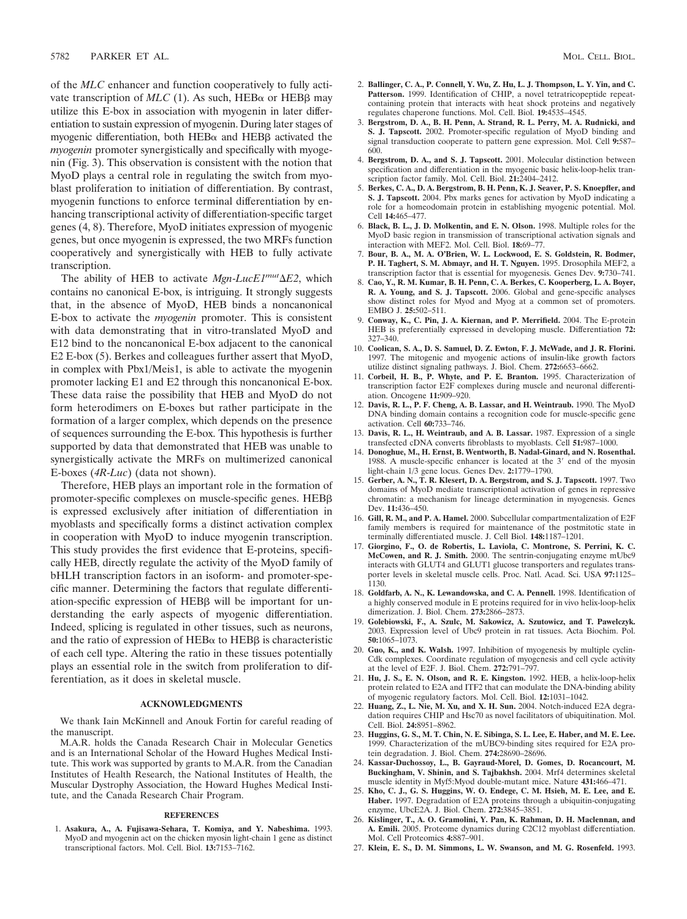of the *MLC* enhancer and function cooperatively to fully activate transcription of  $MLC$  (1). As such,  $HEB\alpha$  or  $HEB\beta$  may utilize this E-box in association with myogenin in later differentiation to sustain expression of myogenin. During later stages of myogenic differentiation, both  $HEB\alpha$  and  $HEB\beta$  activated the *myogenin* promoter synergistically and specifically with myogenin (Fig. 3). This observation is consistent with the notion that MyoD plays a central role in regulating the switch from myoblast proliferation to initiation of differentiation. By contrast, myogenin functions to enforce terminal differentiation by enhancing transcriptional activity of differentiation-specific target genes (4, 8). Therefore, MyoD initiates expression of myogenic genes, but once myogenin is expressed, the two MRFs function cooperatively and synergistically with HEB to fully activate transcription.

The ability of HEB to activate *Mgn-LucE1<sup>mut</sup>* $\Delta E2$ , which contains no canonical E-box, is intriguing. It strongly suggests that, in the absence of MyoD, HEB binds a noncanonical E-box to activate the *myogenin* promoter. This is consistent with data demonstrating that in vitro-translated MyoD and E12 bind to the noncanonical E-box adjacent to the canonical E2 E-box (5). Berkes and colleagues further assert that MyoD, in complex with Pbx1/Meis1, is able to activate the myogenin promoter lacking E1 and E2 through this noncanonical E-box. These data raise the possibility that HEB and MyoD do not form heterodimers on E-boxes but rather participate in the formation of a larger complex, which depends on the presence of sequences surrounding the E-box. This hypothesis is further supported by data that demonstrated that HEB was unable to synergistically activate the MRFs on multimerized canonical E-boxes (*4R*-*Luc*) (data not shown).

Therefore, HEB plays an important role in the formation of promoter-specific complexes on muscle-specific genes. HEB is expressed exclusively after initiation of differentiation in myoblasts and specifically forms a distinct activation complex in cooperation with MyoD to induce myogenin transcription. This study provides the first evidence that E-proteins, specifically HEB, directly regulate the activity of the MyoD family of bHLH transcription factors in an isoform- and promoter-specific manner. Determining the factors that regulate differentiation-specific expression of HEBB will be important for understanding the early aspects of myogenic differentiation. Indeed, splicing is regulated in other tissues, such as neurons, and the ratio of expression of  $HEB\alpha$  to  $HEB\beta$  is characteristic of each cell type. Altering the ratio in these tissues potentially plays an essential role in the switch from proliferation to differentiation, as it does in skeletal muscle.

#### **ACKNOWLEDGMENTS**

We thank Iain McKinnell and Anouk Fortin for careful reading of the manuscript.

M.A.R. holds the Canada Research Chair in Molecular Genetics and is an International Scholar of the Howard Hughes Medical Institute. This work was supported by grants to M.A.R. from the Canadian Institutes of Health Research, the National Institutes of Health, the Muscular Dystrophy Association, the Howard Hughes Medical Institute, and the Canada Research Chair Program.

#### **REFERENCES**

1. **Asakura, A., A. Fujisawa-Sehara, T. Komiya, and Y. Nabeshima.** 1993. MyoD and myogenin act on the chicken myosin light-chain 1 gene as distinct transcriptional factors. Mol. Cell. Biol. **13:**7153–7162.

- 3. **Bergstrom, D. A., B. H. Penn, A. Strand, R. L. Perry, M. A. Rudnicki, and S. J. Tapscott.** 2002. Promoter-specific regulation of MyoD binding and signal transduction cooperate to pattern gene expression. Mol. Cell **9:**587– 600.
- 4. **Bergstrom, D. A., and S. J. Tapscott.** 2001. Molecular distinction between specification and differentiation in the myogenic basic helix-loop-helix transcription factor family. Mol. Cell. Biol. **21:**2404–2412.
- 5. **Berkes, C. A., D. A. Bergstrom, B. H. Penn, K. J. Seaver, P. S. Knoepfler, and S. J. Tapscott.** 2004. Pbx marks genes for activation by MyoD indicating a role for a homeodomain protein in establishing myogenic potential. Mol. Cell **14:**465–477.
- 6. **Black, B. L., J. D. Molkentin, and E. N. Olson.** 1998. Multiple roles for the MyoD basic region in transmission of transcriptional activation signals and interaction with MEF2. Mol. Cell. Biol. **18:**69–77.
- 7. **Bour, B. A., M. A. O'Brien, W. L. Lockwood, E. S. Goldstein, R. Bodmer, P. H. Taghert, S. M. Abmayr, and H. T. Nguyen.** 1995. Drosophila MEF2, a transcription factor that is essential for myogenesis. Genes Dev. **9:**730–741.
- 8. **Cao, Y., R. M. Kumar, B. H. Penn, C. A. Berkes, C. Kooperberg, L. A. Boyer, R. A. Young, and S. J. Tapscott.** 2006. Global and gene-specific analyses show distinct roles for Myod and Myog at a common set of promoters. EMBO J. **25:**502–511.
- 9. **Conway, K., C. Pin, J. A. Kiernan, and P. Merrifield.** 2004. The E-protein HEB is preferentially expressed in developing muscle. Differentiation **72:** 327–340.
- 10. **Coolican, S. A., D. S. Samuel, D. Z. Ewton, F. J. McWade, and J. R. Florini.** 1997. The mitogenic and myogenic actions of insulin-like growth factors utilize distinct signaling pathways. J. Biol. Chem. **272:**6653–6662.
- 11. **Corbeil, H. B., P. Whyte, and P. E. Branton.** 1995. Characterization of transcription factor E2F complexes during muscle and neuronal differentiation. Oncogene **11:**909–920.
- 12. **Davis, R. L., P. F. Cheng, A. B. Lassar, and H. Weintraub.** 1990. The MyoD DNA binding domain contains a recognition code for muscle-specific gene activation. Cell **60:**733–746.
- 13. **Davis, R. L., H. Weintraub, and A. B. Lassar.** 1987. Expression of a single transfected cDNA converts fibroblasts to myoblasts. Cell **51:**987–1000.
- 14. **Donoghue, M., H. Ernst, B. Wentworth, B. Nadal-Ginard, and N. Rosenthal.** 1988. A muscle-specific enhancer is located at the  $3'$  end of the myosin light-chain 1/3 gene locus. Genes Dev. **2:**1779–1790.
- 15. **Gerber, A. N., T. R. Klesert, D. A. Bergstrom, and S. J. Tapscott.** 1997. Two domains of MyoD mediate transcriptional activation of genes in repressive chromatin: a mechanism for lineage determination in myogenesis. Genes Dev. **11:**436–450.
- 16. **Gill, R. M., and P. A. Hamel.** 2000. Subcellular compartmentalization of E2F family members is required for maintenance of the postmitotic state in terminally differentiated muscle. J. Cell Biol. **148:**1187–1201.
- 17. **Giorgino, F., O. de Robertis, L. Laviola, C. Montrone, S. Perrini, K. C. McCowen, and R. J. Smith.** 2000. The sentrin-conjugating enzyme mUbc9 interacts with GLUT4 and GLUT1 glucose transporters and regulates transporter levels in skeletal muscle cells. Proc. Natl. Acad. Sci. USA **97:**1125– 1130.
- 18. **Goldfarb, A. N., K. Lewandowska, and C. A. Pennell.** 1998. Identification of a highly conserved module in E proteins required for in vivo helix-loop-helix dimerization. J. Biol. Chem. **273:**2866–2873.
- 19. **Golebiowski, F., A. Szulc, M. Sakowicz, A. Szutowicz, and T. Pawelczyk.** 2003. Expression level of Ubc9 protein in rat tissues. Acta Biochim. Pol. **50:**1065–1073.
- 20. **Guo, K., and K. Walsh.** 1997. Inhibition of myogenesis by multiple cyclin-Cdk complexes. Coordinate regulation of myogenesis and cell cycle activity at the level of E2F. J. Biol. Chem. **272:**791–797.
- 21. **Hu, J. S., E. N. Olson, and R. E. Kingston.** 1992. HEB, a helix-loop-helix protein related to E2A and ITF2 that can modulate the DNA-binding ability of myogenic regulatory factors. Mol. Cell. Biol. **12:**1031–1042.
- 22. **Huang, Z., L. Nie, M. Xu, and X. H. Sun.** 2004. Notch-induced E2A degradation requires CHIP and Hsc70 as novel facilitators of ubiquitination. Mol. Cell. Biol. **24:**8951–8962.
- 23. **Huggins, G. S., M. T. Chin, N. E. Sibinga, S. L. Lee, E. Haber, and M. E. Lee.** 1999. Characterization of the mUBC9-binding sites required for E2A protein degradation. J. Biol. Chem. **274:**28690–28696.
- 24. **Kassar-Duchossoy, L., B. Gayraud-Morel, D. Gomes, D. Rocancourt, M. Buckingham, V. Shinin, and S. Tajbakhsh.** 2004. Mrf4 determines skeletal muscle identity in Myf5:Myod double-mutant mice. Nature **431:**466–471.
- 25. **Kho, C. J., G. S. Huggins, W. O. Endege, C. M. Hsieh, M. E. Lee, and E. Haber.** 1997. Degradation of E2A proteins through a ubiquitin-conjugating enzyme, UbcE2A. J. Biol. Chem. **272:**3845–3851.
- 26. **Kislinger, T., A. O. Gramolini, Y. Pan, K. Rahman, D. H. Maclennan, and A. Emili.** 2005. Proteome dynamics during C2C12 myoblast differentiation. Mol. Cell Proteomics **4:**887–901.
- 27. **Klein, E. S., D. M. Simmons, L. W. Swanson, and M. G. Rosenfeld.** 1993.